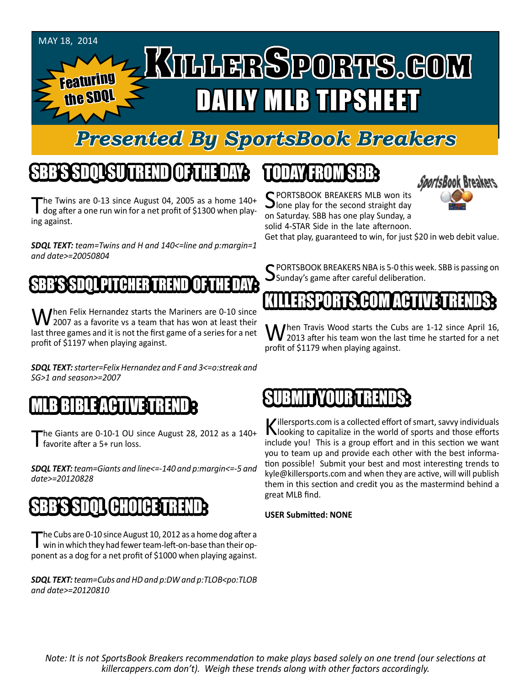

## *Presented By SportsBook Breakers*

# SBB'S SDQL SU TREND OF THE DAY:

The Twins are 0-13 since August 04, 2005 as a home 140+<br>dog after a one run win for a net profit of \$1300 when playing against.

*SDQL TEXT: team=Twins and H and 140<=line and p:margin=1 and date>=20050804*

#### SBB'S SDQL PITCHER TREND OF THE DAY:

When Felix Hernandez starts the Mariners are 0-10 since<br>2007 as a favorite vs a team that has won at least their last three games and it is not the first game of a series for a net profit of \$1197 when playing against.

*SDQL TEXT: starter=Felix Hernandez and F and 3<=o:streak and SG>1 and season>=2007*

#### MLB BIBLE ACTIVE TRENDE

The Giants are  $0-10-1$  OU since August 28, 2012 as a  $140+$ favorite after a 5+ run loss.

*SDQL TEXT: team=Giants and line<=-140 and p:margin<=-5 and date>=20120828*

# SBB'S SDOLL CHOICET

The Cubs are 0-10 since August 10, 2012 as a home dog after a<br>win in which they had fewer team-left-on-base than their opponent as a dog for a net profit of \$1000 when playing against.

*SDQL TEXT: team=Cubs and HD and p:DW and p:TLOB<po:TLOB and date>=20120810*

# TODAY HAOMSBB

SPORTSBOOK BREAKERS MLB won its<br>Jone play for the second straight day on Saturday. SBB has one play Sunday, a solid 4-STAR Side in the late afternoon.

*SportsBook Breakers* 

Get that play, guaranteed to win, for just \$20 in web debit value.

SPORTSBOOK BREAKERS NBA is 5-0 this week. SBB is passing on<br>Sunday's game after careful deliberation.

### KILLERSPORTS.COM ACTIVE TRENDS:

When Travis Wood starts the Cubs are 1-12 since April 16,<br>2013 after his team won the last time he started for a net profit of \$1179 when playing against.

#### BRIT IT IN AN INTERNATIONAL

Killersports.com is a collected effort of smart, savvy individuals<br>Nooking to capitalize in the world of sports and those efforts include you! This is a group effort and in this section we want you to team up and provide each other with the best information possible! Submit your best and most interesting trends to kyle@killersports.com and when they are active, will will publish them in this section and credit you as the mastermind behind a great MLB find.

#### **USER Submitted: NONE**

*Note: It is not SportsBook Breakers recommendation to make plays based solely on one trend (our selections at killercappers.com don't). Weigh these trends along with other factors accordingly.*